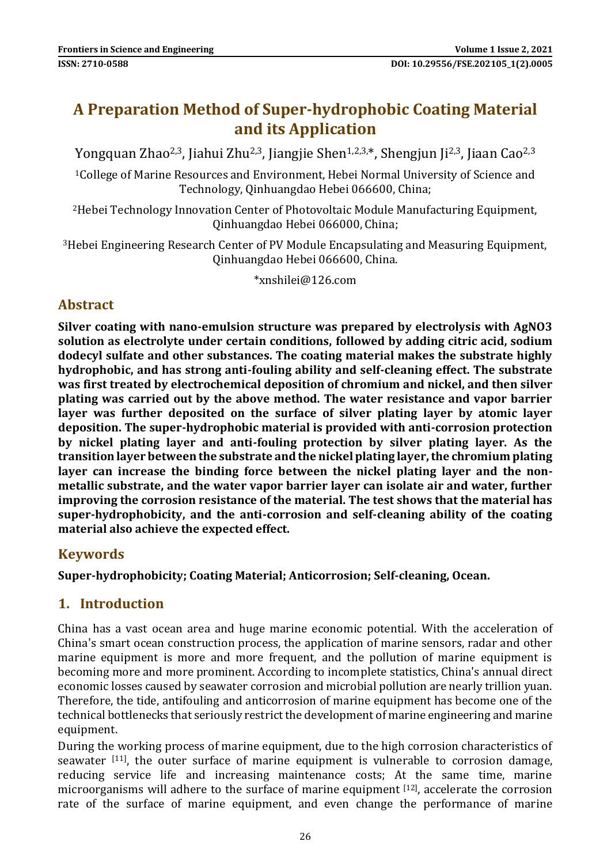# **A Preparation Method of Super-hydrophobic Coating Material and its Application**

Yongquan Zhao<sup>2,3</sup>, Jiahui Zhu<sup>2,3</sup>, Jiangjie Shen<sup>1,2,3,\*</sup>, Shengjun Ji<sup>2,3</sup>, Jiaan Cao<sup>2,3</sup>

<sup>1</sup>College of Marine Resources and Environment, Hebei Normal University of Science and Technology, Qinhuangdao Hebei 066600, China;

<sup>2</sup>Hebei Technology Innovation Center of Photovoltaic Module Manufacturing Equipment, Qinhuangdao Hebei 066000, China;

<sup>3</sup>Hebei Engineering Research Center of PV Module Encapsulating and Measuring Equipment, Qinhuangdao Hebei 066600, China.

\*xnshilei@126.com

### **Abstract**

**Silver coating with nano-emulsion structure was prepared by electrolysis with AgNO3 solution as electrolyte under certain conditions, followed by adding citric acid, sodium dodecyl sulfate and other substances. The coating material makes the substrate highly hydrophobic, and has strong anti-fouling ability and self-cleaning effect. The substrate was first treated by electrochemical deposition of chromium and nickel, and then silver plating was carried out by the above method. The water resistance and vapor barrier layer was further deposited on the surface of silver plating layer by atomic layer deposition. The super-hydrophobic material is provided with anti-corrosion protection by nickel plating layer and anti-fouling protection by silver plating layer. As the transition layer between the substrate and the nickel plating layer, the chromium plating layer can increase the binding force between the nickel plating layer and the nonmetallic substrate, and the water vapor barrier layer can isolate air and water, further improving the corrosion resistance of the material. The test shows that the material has super-hydrophobicity, and the anti-corrosion and self-cleaning ability of the coating material also achieve the expected effect.**

### **Keywords**

**Super-hydrophobicity; Coating Material; Anticorrosion; Self-cleaning, Ocean.**

### **1. Introduction**

China has a vast ocean area and huge marine economic potential. With the acceleration of China's smart ocean construction process, the application of marine sensors, radar and other marine equipment is more and more frequent, and the pollution of marine equipment is becoming more and more prominent. According to incomplete statistics, China's annual direct economic losses caused by seawater corrosion and microbial pollution are nearly trillion yuan. Therefore, the tide, antifouling and anticorrosion of marine equipment has become one of the technical bottlenecks that seriously restrict the development of marine engineering and marine equipment.

During the working process of marine equipment, due to the high corrosion characteristics of seawater <sup>[11]</sup>, the outer surface of marine equipment is vulnerable to corrosion damage, reducing service life and increasing maintenance costs; At the same time, marine microorganisms will adhere to the surface of marine equipment [12], accelerate the corrosion rate of the surface of marine equipment, and even change the performance of marine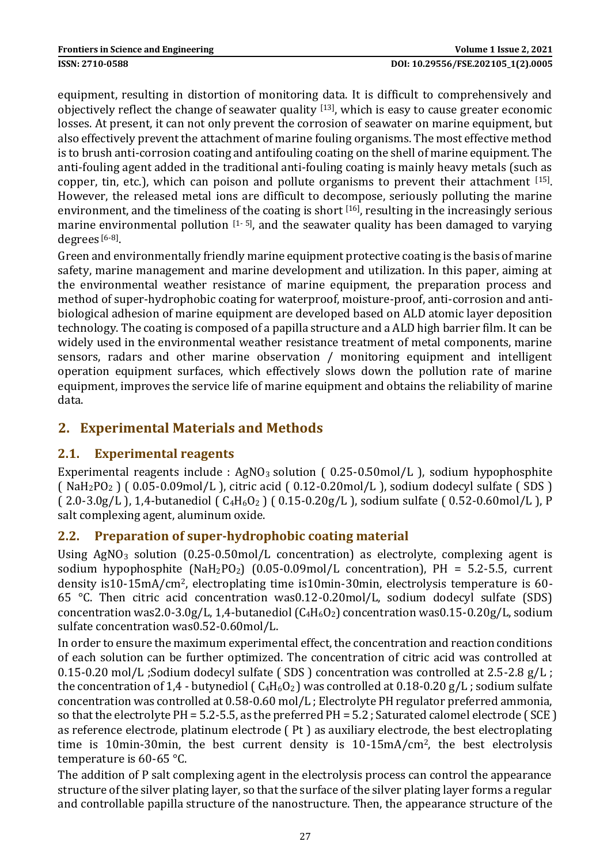equipment, resulting in distortion of monitoring data. It is difficult to comprehensively and objectively reflect the change of seawater quality  $[13]$ , which is easy to cause greater economic losses. At present, it can not only prevent the corrosion of seawater on marine equipment, but also effectively prevent the attachment of marine fouling organisms. The most effective method is to brush anti-corrosion coating and antifouling coating on the shell of marine equipment. The anti-fouling agent added in the traditional anti-fouling coating is mainly heavy metals (such as copper, tin, etc.), which can poison and pollute organisms to prevent their attachment [15]. However, the released metal ions are difficult to decompose, seriously polluting the marine environment, and the timeliness of the coating is short  $[16]$ , resulting in the increasingly serious marine environmental pollution  $[1-5]$ , and the seawater quality has been damaged to varying degrees<sup>[6-8]</sup>.

Green and environmentally friendly marine equipment protective coating is the basis of marine safety, marine management and marine development and utilization. In this paper, aiming at the environmental weather resistance of marine equipment, the preparation process and method of super-hydrophobic coating for waterproof, moisture-proof, anti-corrosion and antibiological adhesion of marine equipment are developed based on ALD atomic layer deposition technology. The coating is composed of a papilla structure and a ALD high barrier film. It can be widely used in the environmental weather resistance treatment of metal components, marine sensors, radars and other marine observation / monitoring equipment and intelligent operation equipment surfaces, which effectively slows down the pollution rate of marine equipment, improves the service life of marine equipment and obtains the reliability of marine data.

### **2. Experimental Materials and Methods**

#### **2.1. Experimental reagents**

Experimental reagents include :  $AgNO<sub>3</sub>$  solution (0.25-0.50mol/L), sodium hypophosphite (  $NaH_2PO_2$  ) (  $0.05$ -0.09mol/L ), citric acid (  $0.12$ -0.20mol/L ), sodium dodecyl sulfate ( SDS ) (  $2.0-3.0g/L$  ),  $1.4$ -butanediol (  $C_4H_6O_2$  ) (  $0.15-0.20g/L$  ), sodium sulfate (  $0.52-0.60mol/L$  ), P salt complexing agent, aluminum oxide.

#### **2.2. Preparation of super-hydrophobic coating material**

Using  $AgNO<sub>3</sub>$  solution  $(0.25-0.50 \text{mol/L}$  concentration) as electrolyte, complexing agent is sodium hypophosphite (NaH<sub>2</sub>PO<sub>2</sub>) (0.05-0.09mol/L concentration), PH = 5.2-5.5, current density is10-15mA/cm2, electroplating time is10min-30min, electrolysis temperature is 60- 65 °C. Then citric acid concentration was0.12-0.20mol/L, sodium dodecyl sulfate (SDS) concentration was 2.0-3.0g/L, 1,4-butanediol  $(C_4H_6O_2)$  concentration was 0.15-0.20g/L, sodium sulfate concentration was0.52-0.60mol/L.

In order to ensure the maximum experimental effect, the concentration and reaction conditions of each solution can be further optimized. The concentration of citric acid was controlled at 0.15-0.20 mol/L ;Sodium dodecyl sulfate ( SDS ) concentration was controlled at 2.5-2.8 g/L ; the concentration of 1,4 - butynediol ( $C_4H_6O_2$ ) was controlled at 0.18-0.20 g/L; sodium sulfate concentration was controlled at 0.58-0.60 mol/L ; Electrolyte PH regulator preferred ammonia, so that the electrolyte PH = 5.2-5.5, as the preferred PH = 5.2 ; Saturated calomel electrode ( SCE ) as reference electrode, platinum electrode ( Pt ) as auxiliary electrode, the best electroplating time is 10min-30min, the best current density is 10-15mA/cm2, the best electrolysis temperature is 60-65 °C.

The addition of P salt complexing agent in the electrolysis process can control the appearance structure of the silver plating layer, so that the surface of the silver plating layer forms a regular and controllable papilla structure of the nanostructure. Then, the appearance structure of the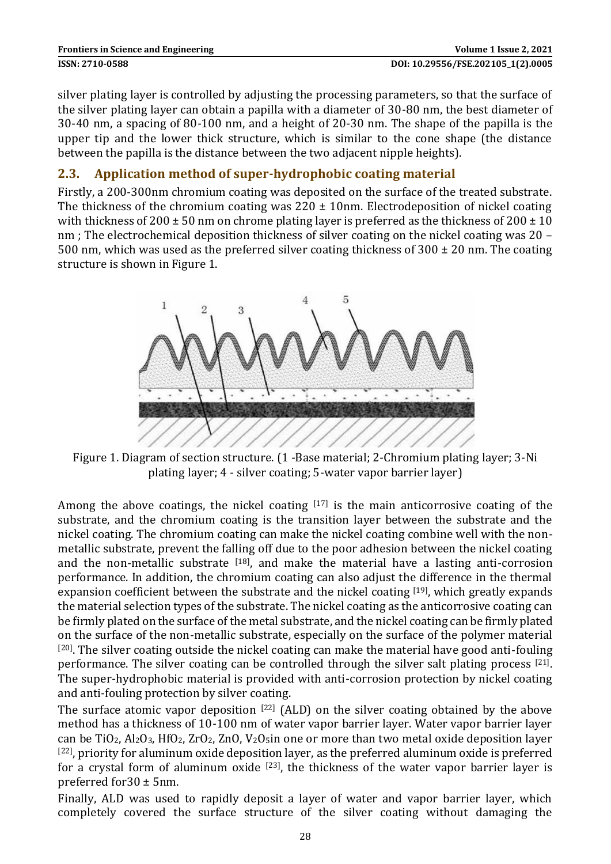| <b>Frontiers in Science and Engineering</b> |  |
|---------------------------------------------|--|
| ISSN: 2710-0588                             |  |

silver plating layer is controlled by adjusting the processing parameters, so that the surface of the silver plating layer can obtain a papilla with a diameter of 30-80 nm, the best diameter of 30-40 nm, a spacing of 80-100 nm, and a height of 20-30 nm. The shape of the papilla is the upper tip and the lower thick structure, which is similar to the cone shape (the distance between the papilla is the distance between the two adjacent nipple heights).

#### **2.3. Application method of super-hydrophobic coating material**

Firstly, a 200-300nm chromium coating was deposited on the surface of the treated substrate. The thickness of the chromium coating was  $220 \pm 10$ nm. Electrodeposition of nickel coating with thickness of 200  $\pm$  50 nm on chrome plating layer is preferred as the thickness of 200  $\pm$  10 nm ; The electrochemical deposition thickness of silver coating on the nickel coating was 20 – 500 nm, which was used as the preferred silver coating thickness of  $300 \pm 20$  nm. The coating structure is shown in Figure 1.



Figure 1. Diagram of section structure. (1 -Base material; 2-Chromium plating layer; 3-Ni plating layer; 4 - silver coating; 5-water vapor barrier layer)

Among the above coatings, the nickel coating  $[17]$  is the main anticorrosive coating of the substrate, and the chromium coating is the transition layer between the substrate and the nickel coating. The chromium coating can make the nickel coating combine well with the nonmetallic substrate, prevent the falling off due to the poor adhesion between the nickel coating and the non-metallic substrate  $[18]$ , and make the material have a lasting anti-corrosion performance. In addition, the chromium coating can also adjust the difference in the thermal expansion coefficient between the substrate and the nickel coating [19], which greatly expands the material selection types of the substrate. The nickel coating as the anticorrosive coating can be firmly plated on the surface of the metal substrate, and the nickel coating can be firmly plated on the surface of the non-metallic substrate, especially on the surface of the polymer material  $[20]$ . The silver coating outside the nickel coating can make the material have good anti-fouling performance. The silver coating can be controlled through the silver salt plating process  $[21]$ . The super-hydrophobic material is provided with anti-corrosion protection by nickel coating and anti-fouling protection by silver coating.

The surface atomic vapor deposition  $[22]$  (ALD) on the silver coating obtained by the above method has a thickness of 10-100 nm of water vapor barrier layer. Water vapor barrier layer can be  $TiO_2$ ,  $Al_2O_3$ ,  $HfO_2$ ,  $ZrO_2$ ,  $ZnO$ ,  $V_2O_5$ in one or more than two metal oxide deposition layer [22], priority for aluminum oxide deposition layer, as the preferred aluminum oxide is preferred for a crystal form of aluminum oxide  $[23]$ , the thickness of the water vapor barrier layer is preferred for30 ± 5nm.

Finally, ALD was used to rapidly deposit a layer of water and vapor barrier layer, which completely covered the surface structure of the silver coating without damaging the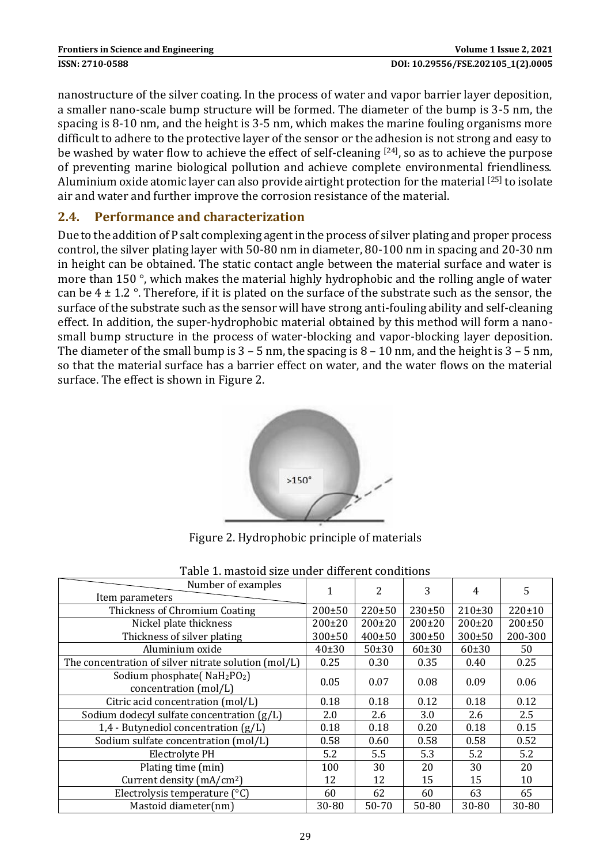nanostructure of the silver coating. In the process of water and vapor barrier layer deposition, a smaller nano-scale bump structure will be formed. The diameter of the bump is 3-5 nm, the spacing is 8-10 nm, and the height is 3-5 nm, which makes the marine fouling organisms more difficult to adhere to the protective layer of the sensor or the adhesion is not strong and easy to be washed by water flow to achieve the effect of self-cleaning [24], so as to achieve the purpose of preventing marine biological pollution and achieve complete environmental friendliness. Aluminium oxide atomic layer can also provide airtight protection for the material [25] to isolate air and water and further improve the corrosion resistance of the material.

#### **2.4. Performance and characterization**

Due to the addition of P salt complexing agent in the process of silver plating and proper process control, the silver plating layer with 50-80 nm in diameter, 80-100 nm in spacing and 20-30 nm in height can be obtained. The static contact angle between the material surface and water is more than 150 °, which makes the material highly hydrophobic and the rolling angle of water can be  $4 \pm 1.2$  °. Therefore, if it is plated on the surface of the substrate such as the sensor, the surface of the substrate such as the sensor will have strong anti-fouling ability and self-cleaning effect. In addition, the super-hydrophobic material obtained by this method will form a nanosmall bump structure in the process of water-blocking and vapor-blocking layer deposition. The diameter of the small bump is  $3 - 5$  nm, the spacing is  $8 - 10$  nm, and the height is  $3 - 5$  nm, so that the material surface has a barrier effect on water, and the water flows on the material surface. The effect is shown in Figure 2.



Figure 2. Hydrophobic principle of materials

| Number of examples<br>Item parameters                                        |              | $\mathcal{P}$ | 3            | 4            | 5            |
|------------------------------------------------------------------------------|--------------|---------------|--------------|--------------|--------------|
| Thickness of Chromium Coating                                                | $200 \pm 50$ | $220 \pm 50$  | $230+50$     | $210 \pm 30$ | $220 \pm 10$ |
| Nickel plate thickness                                                       | $200 \pm 20$ | $200 \pm 20$  | $200 \pm 20$ | $200 \pm 20$ | $200 \pm 50$ |
| Thickness of silver plating                                                  | 300±50       | $400 \pm 50$  | $300 \pm 50$ | $300 \pm 50$ | 200-300      |
| Aluminium oxide                                                              | 40±30        | 50±30         | 60±30        | 60±30        | 50           |
| The concentration of silver nitrate solution (mol/L)                         | 0.25         | 0.30          | 0.35         | 0.40         | 0.25         |
| Sodium phosphate(NaH <sub>2</sub> PO <sub>2</sub> )<br>concentration (mol/L) | 0.05         | 0.07          | 0.08         | 0.09         | 0.06         |
| Citric acid concentration (mol/L)                                            | 0.18         | 0.18          | 0.12         | 0.18         | 0.12         |
| Sodium dodecyl sulfate concentration (g/L)                                   | 2.0          | 2.6           | 3.0          | 2.6          | 2.5          |
| 1,4 - Butynediol concentration $(g/L)$                                       | 0.18         | 0.18          | 0.20         | 0.18         | 0.15         |
| Sodium sulfate concentration (mol/L)                                         | 0.58         | 0.60          | 0.58         | 0.58         | 0.52         |
| Electrolyte PH                                                               | 5.2          | 5.5           | 5.3          | 5.2          | 5.2          |
| Plating time (min)                                                           | 100          | 30            | 20           | 30           | 20           |
| Current density (mA/cm <sup>2</sup> )                                        | 12           | 12            | 15           | 15           | 10           |
| Electrolysis temperature (°C)                                                | 60           | 62            | 60           | 63           | 65           |
| Mastoid diameter(nm)                                                         | 30-80        | 50-70         | 50-80        | 30-80        | 30-80        |

Table 1. mastoid size under different conditions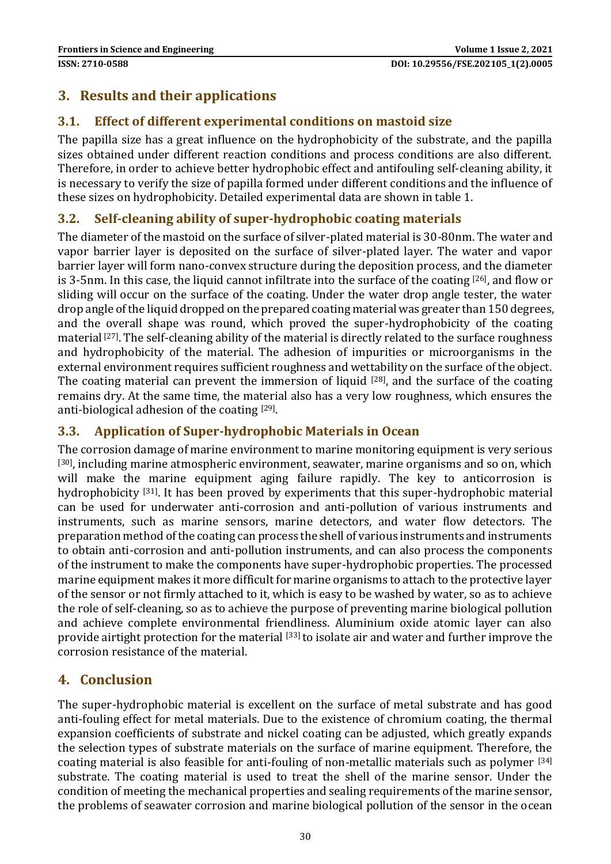## **3. Results and their applications**

### **3.1. Effect of different experimental conditions on mastoid size**

The papilla size has a great influence on the hydrophobicity of the substrate, and the papilla sizes obtained under different reaction conditions and process conditions are also different. Therefore, in order to achieve better hydrophobic effect and antifouling self-cleaning ability, it is necessary to verify the size of papilla formed under different conditions and the influence of these sizes on hydrophobicity. Detailed experimental data are shown in table 1.

#### **3.2. Self-cleaning ability of super-hydrophobic coating materials**

The diameter of the mastoid on the surface of silver-plated material is 30-80nm. The water and vapor barrier layer is deposited on the surface of silver-plated layer. The water and vapor barrier layer will form nano-convex structure during the deposition process, and the diameter is 3-5nm. In this case, the liquid cannot infiltrate into the surface of the coating [26], and flow or sliding will occur on the surface of the coating. Under the water drop angle tester, the water drop angle of the liquid dropped on the prepared coating material was greater than 150 degrees, and the overall shape was round, which proved the super-hydrophobicity of the coating material [27]. The self-cleaning ability of the material is directly related to the surface roughness and hydrophobicity of the material. The adhesion of impurities or microorganisms in the external environment requires sufficient roughness and wettability on the surface of the object. The coating material can prevent the immersion of liquid  $[28]$ , and the surface of the coating remains dry. At the same time, the material also has a very low roughness, which ensures the anti-biological adhesion of the coating [29].

#### **3.3. Application of Super-hydrophobic Materials in Ocean**

The corrosion damage of marine environment to marine monitoring equipment is very serious  $[30]$ , including marine atmospheric environment, seawater, marine organisms and so on, which will make the marine equipment aging failure rapidly. The key to anticorrosion is hydrophobicity [31]. It has been proved by experiments that this super-hydrophobic material can be used for underwater anti-corrosion and anti-pollution of various instruments and instruments, such as marine sensors, marine detectors, and water flow detectors. The preparation method of the coating can process the shell of various instruments and instruments to obtain anti-corrosion and anti-pollution instruments, and can also process the components of the instrument to make the components have super-hydrophobic properties. The processed marine equipment makes it more difficult for marine organisms to attach to the protective layer of the sensor or not firmly attached to it, which is easy to be washed by water, so as to achieve the role of self-cleaning, so as to achieve the purpose of preventing marine biological pollution and achieve complete environmental friendliness. Aluminium oxide atomic layer can also provide airtight protection for the material [33] to isolate air and water and further improve the corrosion resistance of the material.

### **4. Conclusion**

The super-hydrophobic material is excellent on the surface of metal substrate and has good anti-fouling effect for metal materials. Due to the existence of chromium coating, the thermal expansion coefficients of substrate and nickel coating can be adjusted, which greatly expands the selection types of substrate materials on the surface of marine equipment. Therefore, the coating material is also feasible for anti-fouling of non-metallic materials such as polymer [34] substrate. The coating material is used to treat the shell of the marine sensor. Under the condition of meeting the mechanical properties and sealing requirements of the marine sensor, the problems of seawater corrosion and marine biological pollution of the sensor in the ocean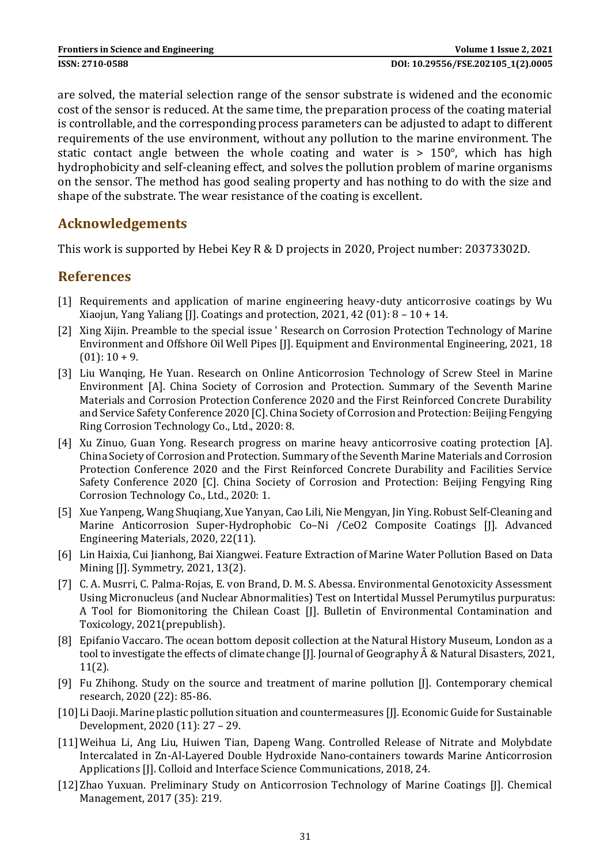are solved, the material selection range of the sensor substrate is widened and the economic cost of the sensor is reduced. At the same time, the preparation process of the coating material is controllable, and the corresponding process parameters can be adjusted to adapt to different requirements of the use environment, without any pollution to the marine environment. The static contact angle between the whole coating and water is  $> 150^{\circ}$ , which has high hydrophobicity and self-cleaning effect, and solves the pollution problem of marine organisms on the sensor. The method has good sealing property and has nothing to do with the size and shape of the substrate. The wear resistance of the coating is excellent.

### **Acknowledgements**

This work is supported by Hebei Key R & D projects in 2020, Project number: 20373302D.

### **References**

- [1] Requirements and application of marine engineering heavy-duty anticorrosive coatings by Wu Xiaojun, Yang Yaliang [J]. Coatings and protection, 2021, 42 (01):  $8 - 10 + 14$ .
- [2] Xing Xijin. Preamble to the special issue ' Research on Corrosion Protection Technology of Marine Environment and Offshore Oil Well Pipes [J]. Equipment and Environmental Engineering, 2021, 18  $(01): 10 + 9.$
- [3] Liu Wanqing, He Yuan. Research on Online Anticorrosion Technology of Screw Steel in Marine Environment [A]. China Society of Corrosion and Protection. Summary of the Seventh Marine Materials and Corrosion Protection Conference 2020 and the First Reinforced Concrete Durability and Service Safety Conference 2020 [C]. China Society of Corrosion and Protection: Beijing Fengying Ring Corrosion Technology Co., Ltd., 2020: 8.
- [4] Xu Zinuo, Guan Yong. Research progress on marine heavy anticorrosive coating protection [A]. China Society of Corrosion and Protection. Summary of the Seventh Marine Materials and Corrosion Protection Conference 2020 and the First Reinforced Concrete Durability and Facilities Service Safety Conference 2020 [C]. China Society of Corrosion and Protection: Beijing Fengying Ring Corrosion Technology Co., Ltd., 2020: 1.
- [5] Xue Yanpeng, Wang Shuqiang, Xue Yanyan, Cao Lili, Nie Mengyan, Jin Ying. Robust Self‐Cleaning and Marine Anticorrosion Super-Hydrophobic Co–Ni /CeO2 Composite Coatings [J]. Advanced Engineering Materials, 2020, 22(11).
- [6] Lin Haixia, Cui Jianhong, Bai Xiangwei. Feature Extraction of Marine Water Pollution Based on Data Mining [J]. Symmetry, 2021, 13(2).
- [7] C. A. Musrri, C. Palma-Rojas, E. von Brand, D. M. S. Abessa. Environmental Genotoxicity Assessment Using Micronucleus (and Nuclear Abnormalities) Test on Intertidal Mussel Perumytilus purpuratus: A Tool for Biomonitoring the Chilean Coast [J]. Bulletin of Environmental Contamination and Toxicology, 2021(prepublish).
- [8] Epifanio Vaccaro. The ocean bottom deposit collection at the Natural History Museum, London as a tool to investigate the effects of climate change [J]. Journal of Geography Â & Natural Disasters, 2021, 11(2).
- [9] Fu Zhihong. Study on the source and treatment of marine pollution [J]. Contemporary chemical research, 2020 (22): 85-86.
- [10] Li Daoji. Marine plastic pollution situation and countermeasures [J]. Economic Guide for Sustainable Development, 2020 (11): 27 – 29.
- [11]Weihua Li, Ang Liu, Huiwen Tian, Dapeng Wang. Controlled Release of Nitrate and Molybdate Intercalated in Zn-Al-Layered Double Hydroxide Nano-containers towards Marine Anticorrosion Applications [J]. Colloid and Interface Science Communications, 2018, 24.
- [12] Zhao Yuxuan. Preliminary Study on Anticorrosion Technology of Marine Coatings [J]. Chemical Management, 2017 (35): 219.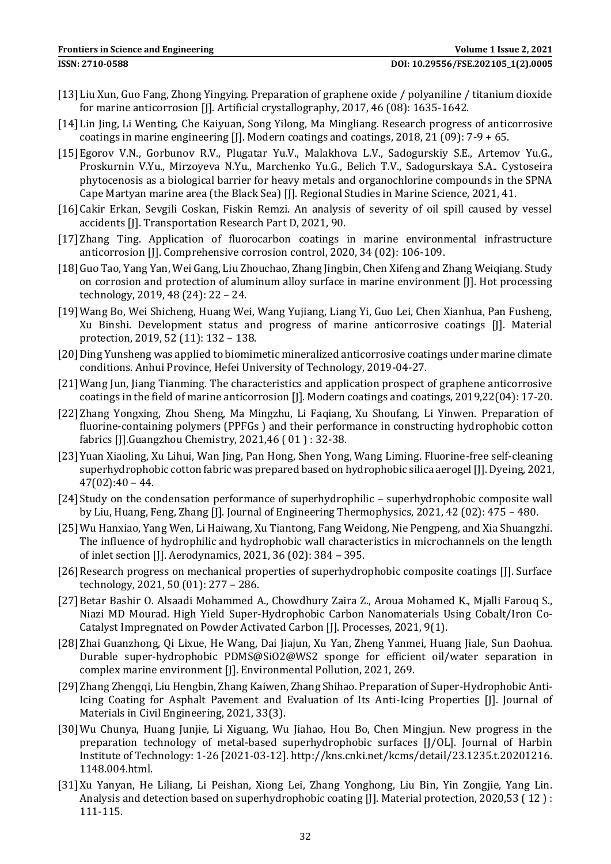- [13]Liu Xun, Guo Fang, Zhong Yingying. Preparation of graphene oxide / polyaniline / titanium dioxide for marine anticorrosion [J]. Artificial crystallography, 2017, 46 (08): 1635-1642.
- [14]Lin Jing, Li Wenting, Che Kaiyuan, Song Yilong, Ma Mingliang. Research progress of anticorrosive coatings in marine engineering [J]. Modern coatings and coatings, 2018, 21 (09): 7-9 + 65.
- [15]Egorov V.N., Gorbunov R.V., Plugatar Yu.V., Malakhova L.V., Sadogurskiy S.E., Artemov Yu.G., Proskurnin V.Yu., Mirzoyeva N.Yu., Marchenko Yu.G., Belich T.V., Sadogurskaya S.A.. Cystoseira phytocenosis as a biological barrier for heavy metals and organochlorine compounds in the SPNA Cape Martyan marine area (the Black Sea) [J]. Regional Studies in Marine Science, 2021, 41.
- [16]Cakir Erkan, Sevgili Coskan, Fiskin Remzi. An analysis of severity of oil spill caused by vessel accidents [J]. Transportation Research Part D, 2021, 90.
- [17]Zhang Ting. Application of fluorocarbon coatings in marine environmental infrastructure anticorrosion [J]. Comprehensive corrosion control, 2020, 34 (02): 106-109.
- [18]Guo Tao, Yang Yan, Wei Gang, Liu Zhouchao, Zhang Jingbin, Chen Xifeng and Zhang Weiqiang. Study on corrosion and protection of aluminum alloy surface in marine environment [J]. Hot processing technology, 2019, 48 (24): 22 – 24.
- [19]Wang Bo, Wei Shicheng, Huang Wei, Wang Yujiang, Liang Yi, Guo Lei, Chen Xianhua, Pan Fusheng, Xu Binshi. Development status and progress of marine anticorrosive coatings [J]. Material protection, 2019, 52 (11): 132 – 138.
- [20]Ding Yunsheng was applied to biomimetic mineralized anticorrosive coatings under marine climate conditions. Anhui Province, Hefei University of Technology, 2019-04-27.
- [21]Wang Jun, Jiang Tianming. The characteristics and application prospect of graphene anticorrosive coatings in the field of marine anticorrosion [J]. Modern coatings and coatings, 2019,22(04): 17-20.
- [22]Zhang Yongxing, Zhou Sheng, Ma Mingzhu, Li Faqiang, Xu Shoufang, Li Yinwen. Preparation of fluorine-containing polymers (PPFGs ) and their performance in constructing hydrophobic cotton fabrics [J].Guangzhou Chemistry, 2021,46 ( 01 ) : 32-38.
- [23]Yuan Xiaoling, Xu Lihui, Wan Jing, Pan Hong, Shen Yong, Wang Liming. Fluorine-free self-cleaning superhydrophobic cotton fabric was prepared based on hydrophobic silica aerogel [J]. Dyeing, 2021,  $47(02):40 - 44.$
- [24] Study on the condensation performance of superhydrophilic superhydrophobic composite wall by Liu, Huang, Feng, Zhang [J]. Journal of Engineering Thermophysics, 2021, 42 (02): 475 – 480.
- [25]Wu Hanxiao, Yang Wen, Li Haiwang, Xu Tiantong, Fang Weidong, Nie Pengpeng, and Xia Shuangzhi. The influence of hydrophilic and hydrophobic wall characteristics in microchannels on the length of inlet section [J]. Aerodynamics, 2021, 36 (02): 384 – 395.
- [26] Research progress on mechanical properties of superhydrophobic composite coatings [J]. Surface technology, 2021, 50 (01): 277 – 286.
- [27]Betar Bashir O. Alsaadi Mohammed A., Chowdhury Zaira Z., Aroua Mohamed K., Mjalli Farouq S., Niazi MD Mourad. High Yield Super-Hydrophobic Carbon Nanomaterials Using Cobalt/Iron Co-Catalyst Impregnated on Powder Activated Carbon [J]. Processes, 2021, 9(1).
- [28]Zhai Guanzhong, Qi Lixue, He Wang, Dai Jiajun, Xu Yan, Zheng Yanmei, Huang Jiale, Sun Daohua. Durable super-hydrophobic PDMS@SiO2@WS2 sponge for efficient oil/water separation in complex marine environment [J]. Environmental Pollution, 2021, 269.
- [29]Zhang Zhengqi, Liu Hengbin, Zhang Kaiwen, Zhang Shihao. Preparation of Super-Hydrophobic Anti-Icing Coating for Asphalt Pavement and Evaluation of Its Anti-Icing Properties [J]. Journal of Materials in Civil Engineering, 2021, 33(3).
- [30]Wu Chunya, Huang Junjie, Li Xiguang, Wu Jiahao, Hou Bo, Chen Mingjun. New progress in the preparation technology of metal-based superhydrophobic surfaces [J/OL]. Journal of Harbin Institute of Technology: 1-26 [2021-03-12]. http://kns.cnki.net/kcms/detail/23.1235.t.20201216. 1148.004.html.
- [31]Xu Yanyan, He Liliang, Li Peishan, Xiong Lei, Zhang Yonghong, Liu Bin, Yin Zongjie, Yang Lin. Analysis and detection based on superhydrophobic coating [J]. Material protection, 2020,53 ( 12 ) : 111-115.